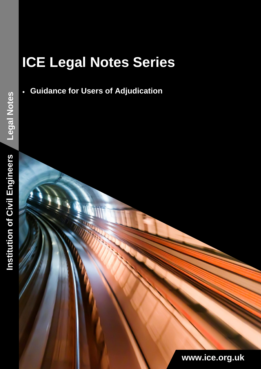# **ICE Legal Notes Series**

**Guidance for Users of Adjudication** 

Institution of Civil Engineers **Institution of Civil Engineers**

**[www.ice.org.uk](file://///icenas2/groups/pr/2013/Marketing/0%20WIP%202013/0600_Last-minute-requests/056_regional-word-template/Design/2013%20word%20template%20new/www.ice.org.uk)**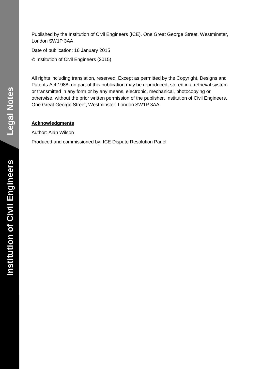Published by the Institution of Civil Engineers (ICE). One Great George Street, Westminster, London SW1P 3AA

Date of publication: 16 January 2015 © Institution of Civil Engineers (2015)

All rights including translation, reserved. Except as permitted by the Copyright, Designs and Patents Act 1988, no part of this publication may be reproduced, stored in a retrieval system or transmitted in any form or by any means, electronic, mechanical, photocopying or otherwise, without the prior written permission of the publisher, Institution of Civil Engineers, One Great George Street, Westminster, London SW1P 3AA.

#### **Acknowledgments**

Author: Alan Wilson

Produced and commissioned by: ICE Dispute Resolution Panel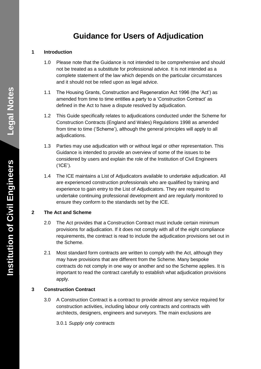# **Guidance for Users of Adjudication**

#### **1 Introduction**

- 1.0 Please note that the Guidance is not intended to be comprehensive and should not be treated as a substitute for professional advice. It is not intended as a complete statement of the law which depends on the particular circumstances and it should not be relied upon as legal advice.
- 1.1 The Housing Grants, Construction and Regeneration Act 1996 (the 'Act') as amended from time to time entitles a party to a 'Construction Contract' as defined in the Act to have a dispute resolved by adjudication.
- 1.2 This Guide specifically relates to adjudications conducted under the Scheme for Construction Contracts (England and Wales) Regulations 1998 as amended from time to time ('Scheme'), although the general principles will apply to all adjudications.
- 1.3 Parties may use adjudication with or without legal or other representation. This Guidance is intended to provide an overview of some of the issues to be considered by users and explain the role of the Institution of Civil Engineers ('ICE').
- 1.4 The ICE maintains a List of Adjudicators available to undertake adjudication. All are experienced construction professionals who are qualified by training and experience to gain entry to the List of Adjudicators. They are required to undertake continuing professional development and are regularly monitored to ensure they conform to the standards set by the ICE.

## **2 The Act and Scheme**

- 2.0 The Act provides that a Construction Contract must include certain minimum provisions for adjudication. If it does not comply with all of the eight compliance requirements, the contract is read to include the adjudication provisions set out in the Scheme.
- 2.1 Most standard form contracts are written to comply with the Act, although they may have provisions that are different from the Scheme. Many bespoke contracts do not comply in one way or another and so the Scheme applies. It is important to read the contract carefully to establish what adjudication provisions apply.

## **3 Construction Contract**

3.0 A Construction Contract is a contract to provide almost any service required for construction activities, including labour only contracts and contracts with architects, designers, engineers and surveyors. The main exclusions are

3.0.1 *Supply only contracts*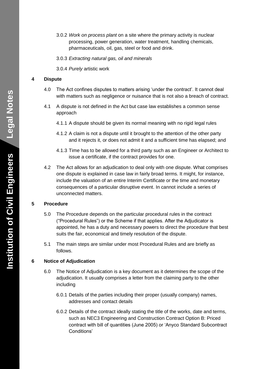- 3.0.2 *Work on process plant* on a site where the primary activity is nuclear processing, power generation, water treatment, handling chemicals, pharmaceuticals, oil, gas, steel or food and drink.
- 3.0.3 *Extracting natural gas, oil and minerals*
- 3.0.4 *Purely* artistic work

#### **4 Dispute**

- 4.0 The Act confines disputes to matters arising 'under the contract'. It cannot deal with matters such as negligence or nuisance that is not also a breach of contract.
- 4.1 A dispute is not defined in the Act but case law establishes a common sense approach
	- 4.1.1 A dispute should be given its normal meaning with no rigid legal rules
	- 4.1.2 A claim is not a dispute until it brought to the attention of the other party and it rejects it, or does not admit it and a sufficient time has elapsed; and
	- 4.1.3 Time has to be allowed for a third party such as an Engineer or Architect to issue a certificate, if the contract provides for one.
- 4.2 The Act allows for an adjudication to deal only with one dispute. What comprises one dispute is explained in case law in fairly broad terms. It might, for instance, include the valuation of an entire Interim Certificate or the time and monetary consequences of a particular disruptive event. In cannot include a series of unconnected matters.

#### **5 Procedure**

- 5.0 The Procedure depends on the particular procedural rules in the contract ("Procedural Rules") or the Scheme if that applies. After the Adjudicator is appointed, he has a duty and necessary powers to direct the procedure that best suits the fair, economical and timely resolution of the dispute.
- 5.1 The main steps are similar under most Procedural Rules and are briefly as follows.

#### **6 Notice of Adjudication**

- 6.0 The Notice of Adjudication is a key document as it determines the scope of the adjudication. It usually comprises a letter from the claiming party to the other including
	- 6.0.1 Details of the parties including their proper (usually company) names, addresses and contact details
	- 6.0.2 Details of the contract ideally stating the title of the works, date and terms, such as NEC3 Engineering and Construction Contract Option B: Priced contract with bill of quantities (June 2005) or 'Anyco Standard Subcontract Conditions'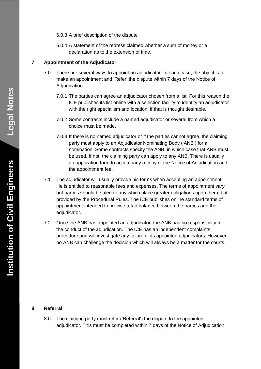6.0.3 A brief description of the dispute

6.0.4 A statement of the redress claimed whether a sum of money or a declaration as to the extension of time.

#### **7 Appointment of the Adjudicator**

- 7.0 There are several ways to appoint an adjudicator. In each case, the object is to make an appointment and 'Refer' the dispute within 7 days of the Notice of Adjudication.
	- 7.0.1 The parties can agree an adjudicator chosen from a list. For this reason the ICE publishes its list online with a selection facility to identify an adjudicator with the right specialism and location, if that is thought desirable.
	- 7.0.2 Some contracts include a named adjudicator or several from which a choice must be made.
	- 7.0.3 If there is no named adjudicator or if the parties cannot agree, the claiming party must apply to an Adjudicator Nominating Body ('ANB') for a nomination. Some contracts specify the ANB, in which case that ANB must be used. If not, the claiming party can apply to any ANB. There is usually an application form to accompany a copy of the Notice of Adjudication and the appointment fee.
- 7.1 The adjudicator will usually provide his terms when accepting an appointment. He is entitled to reasonable fees and expenses. The terms of appointment vary but parties should be alert to any which place greater obligations upon them that provided by the Procedural Rules. The ICE publishes online standard terms of appointment intended to provide a fair balance between the parties and the adjudicator.
- 7.2 Once the ANB has appointed an adjudicator, the ANB has no responsibility for the conduct of the adjudication. The ICE has an independent complaints procedure and will investigate any failure of its appointed adjudicators. However, no ANB can challenge the decision which will always be a matter for the courts.

#### **8 Referral**

8.0 The claiming party must refer ('Referral') the dispute to the appointed adjudicator. This must be completed within 7 days of the Notice of Adjudication.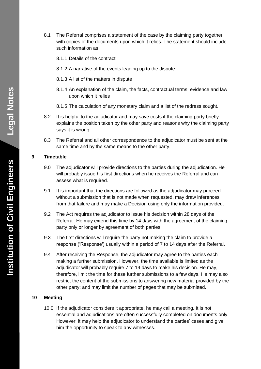- 8.1 The Referral comprises a statement of the case by the claiming party together with copies of the documents upon which it relies. The statement should include such information as
	- 8.1.1 Details of the contract
	- 8.1.2 A narrative of the events leading up to the dispute
	- 8.1.3 A list of the matters in dispute
	- 8.1.4 An explanation of the claim, the facts, contractual terms, evidence and law upon which it relies
	- 8.1.5 The calculation of any monetary claim and a list of the redress sought.
- 8.2 It is helpful to the adjudicator and may save costs if the claiming party briefly explains the position taken by the other party and reasons why the claiming party says it is wrong.
- 8.3 The Referral and all other correspondence to the adjudicator must be sent at the same time and by the same means to the other party.

#### **9 Timetable**

- 9.0 The adjudicator will provide directions to the parties during the adjudication. He will probably issue his first directions when he receives the Referral and can assess what is required.
- 9.1 It is important that the directions are followed as the adjudicator may proceed without a submission that is not made when requested, may draw inferences from that failure and may make a Decision using only the information provided.
- 9.2 The Act requires the adjudicator to issue his decision within 28 days of the Referral. He may extend this time by 14 days with the agreement of the claiming party only or longer by agreement of both parties.
- 9.3 The first directions will require the party not making the claim to provide a response ('Response') usually within a period of 7 to 14 days after the Referral.
- 9.4 After receiving the Response, the adjudicator may agree to the parties each making a further submission. However, the time available is limited as the adjudicator will probably require 7 to 14 days to make his decision. He may, therefore, limit the time for these further submissions to a few days. He may also restrict the content of the submissions to answering new material provided by the other party; and may limit the number of pages that may be submitted.

#### **10 Meeting**

10.0 If the adjudicator considers it appropriate, he may call a meeting. It is not essential and adjudications are often successfully completed on documents only. However, it may help the adjudicator to understand the parties' cases and give him the opportunity to speak to any witnesses.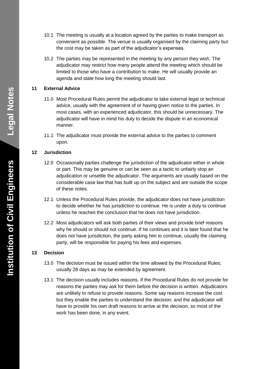- 10.1 The meeting is usually at a location agreed by the parties to make transport as convenient as possible. The venue is usually organised by the claiming party but the cost may be taken as part of the adjudicator's expenses.
- 10.2 The parties may be represented in the meeting by any person they wish. The adjudicator may restrict how many people attend the meeting which should be limited to those who have a contribution to make. He will usually provide an agenda and state how long the meeting should last.

#### **11 External Advice**

- 11.0 Most Procedural Rules permit the adjudicator to take external legal or technical advice, usually with the agreement of or having given notice to the parties. In most cases, with an experienced adjudicator, this should be unnecessary. The adjudicator will have in mind his duty to decide the dispute in an economical manner.
- 11.1 The adjudicator must provide the external advice to the parties to comment upon.

#### **12 Jurisdiction**

- 12.0 Occasionally parties challenge the jurisdiction of the adjudicator either in whole or part. This may be genuine or can be seen as a tactic to unfairly stop an adjudication or unsettle the adjudicator. The arguments are usually based on the considerable case law that has built up on the subject and are outside the scope of these notes.
- 12.1 Unless the Procedural Rules provide, the adjudicator does not have jurisdiction to decide whether he has jurisdiction to continue. He is under a duty to continue unless he reaches the conclusion that he does not have jurisdiction.
- 12.2 Most adjudicators will ask both parties of their views and provide brief reasons why he should or should not continue. If he continues and it is later found that he does not have jurisdiction, the party asking him to continue, usually the claiming party, will be responsible for paying his fees and expenses.

#### **13 Decision**

- 13.0 The decision must be issued within the time allowed by the Procedural Rules; usually 28 days as may be extended by agreement.
- 13.1 The decision usually includes reasons. If the Procedural Rules do not provide for reasons the parties may ask for them before the decision is written. Adjudicators are unlikely to refuse to provide reasons. Some say reasons increase the cost but they enable the parties to understand the decision; and the adjudicator will have to provide his own draft reasons to arrive at the decision, so most of the work has been done, in any event.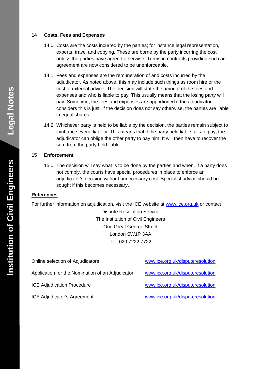#### **14 Costs, Fees and Expenses**

- 14.0 Costs are the costs incurred by the parties; for instance legal representation, experts, travel and copying. These are borne by the party incurring the cost unless the parties have agreed otherwise. Terms in contracts providing such an agreement are now considered to be unenforceable.
- 14.1 Fees and expenses are the remuneration of and costs incurred by the adjudicator. As noted above, this may include such things as room hire or the cost of external advice. The decision will state the amount of the fees and expenses and who is liable to pay. This usually means that the losing party will pay. Sometime, the fees and expenses are apportioned if the adjudicator considers this is just. If the decision does not say otherwise, the parties are liable in equal shares.
- 14.2 Whichever party is held to be liable by the decision, the parties remain subject to joint and several liability. This means that if the party held liable fails to pay, the adjudicator can oblige the other party to pay him. It will then have to recover the sum from the party held liable.

#### **15 Enforcement**

15.0 The decision will say what is to be done by the parties and when. If a party does not comply, the courts have special procedures in place to enforce an adjudicator's decision without unnecessary cost. Specialist advice should be sought if this becomes necessary.

#### **References**

For further information on adjudication, visit the ICE website at [www.ice.org.uk](http://www.ice.org.uk/) or contact

Dispute Resolution Service The Institution of Civil Engineers One Great George Street London SW1P 3AA Tel: 020 7222 7722

| Online selection of Adjudicators                 | www.ice.org.uk/disputeresolution |
|--------------------------------------------------|----------------------------------|
| Application for the Nomination of an Adjudicator | www.ice.org.uk/disputeresolution |
| <b>ICE Adjudication Procedure</b>                | www.ice.org.uk/disputeresolution |
| <b>ICE Adjudicator's Agreement</b>               | www.ice.org.uk/disputeresolution |